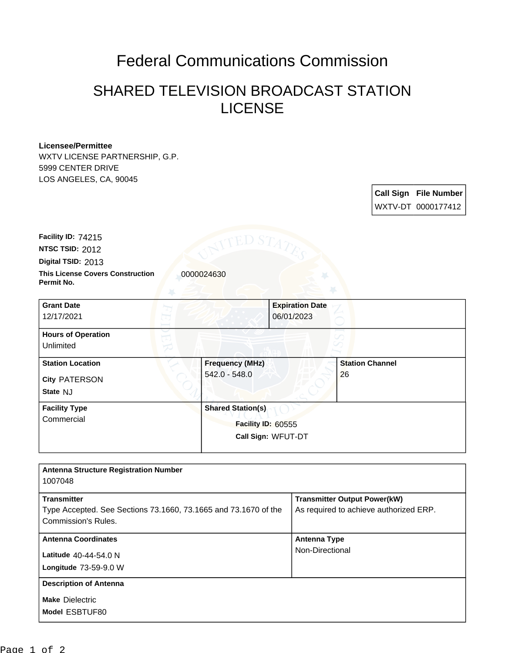## Federal Communications Commission

## SHARED TELEVISION BROADCAST STATION LICENSE

## **Licensee/Permittee**

WXTV LICENSE PARTNERSHIP, G.P. 5999 CENTER DRIVE LOS ANGELES, CA, 90045

> **Call Sign File Number** WXTV-DT 0000177412

**This License Covers Construction 10000024630 Permit No. Digital TSID:** 2013 **NTSC TSID:** 2012 **Facility ID:** 74215

| <b>Grant Date</b><br>12/17/2021                             |                                         | <b>Expiration Date</b><br>06/01/2023                                 |                              |  |
|-------------------------------------------------------------|-----------------------------------------|----------------------------------------------------------------------|------------------------------|--|
| <b>Hours of Operation</b><br>Unlimited                      |                                         |                                                                      |                              |  |
| <b>Station Location</b><br><b>City PATERSON</b><br>State NJ | <b>Frequency (MHz)</b><br>542.0 - 548.0 |                                                                      | <b>Station Channel</b><br>26 |  |
| <b>Facility Type</b><br>Commercial                          |                                         | <b>Shared Station(s)</b><br>Facility ID: 60555<br>Call Sign: WFUT-DT |                              |  |

| <b>Antenna Structure Registration Number</b><br>1007048                                                      |                                                                               |
|--------------------------------------------------------------------------------------------------------------|-------------------------------------------------------------------------------|
| <b>Transmitter</b><br>Type Accepted. See Sections 73.1660, 73.1665 and 73.1670 of the<br>Commission's Rules. | <b>Transmitter Output Power(kW)</b><br>As required to achieve authorized ERP. |
| <b>Antenna Coordinates</b><br>Latitude 40-44-54.0 N<br>Longitude 73-59-9.0 W                                 | <b>Antenna Type</b><br>Non-Directional                                        |
| <b>Description of Antenna</b><br><b>Make Dielectric</b><br>Model ESBTUF80                                    |                                                                               |